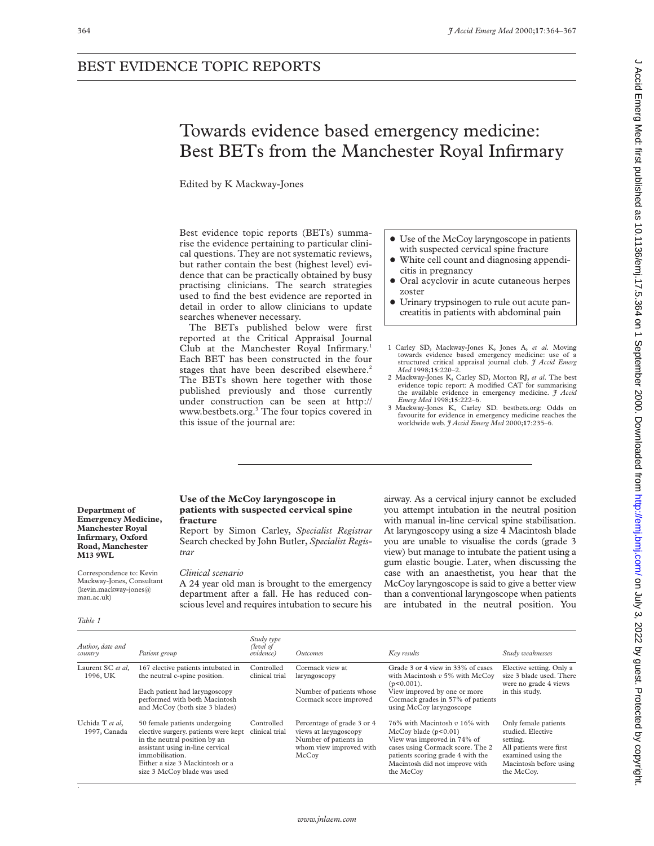# Towards evidence based emergency medicine: Best BETs from the Manchester Royal Infirmary

Edited by K Mackway-Jones

Best evidence topic reports (BETs) summarise the evidence pertaining to particular clinical questions. They are not systematic reviews, but rather contain the best (highest level) evidence that can be practically obtained by busy practising clinicians. The search strategies used to find the best evidence are reported in detail in order to allow clinicians to update searches whenever necessary.

The BETs published below were first reported at the Critical Appraisal Journal Club at the Manchester Royal Infirmary.<sup>1</sup> Each BET has been constructed in the four stages that have been described elsewhere.<sup>2</sup> The BETs shown here together with those published previously and those currently under construction can be seen at http:// www.bestbets.org.3 The four topics covered in this issue of the journal are:

- Use of the McCoy laryngoscope in patients with suspected cervical spine fracture
- x White cell count and diagnosing appendicitis in pregnancy
- Oral acyclovir in acute cutaneous herpes zoster
- Urinary trypsinogen to rule out acute pancreatitis in patients with abdominal pain
- 1 Carley SD, Mackway-Jones K, Jones A, *et al*. Moving towards evidence based emergency medicine: use of a structured critical appraisal journal club. *J Accid Emerg Med* 1998;**15**:220–2.
- 2 Mackway-Jones K, Carley SD, Morton RJ, *et al*. The best evidence topic report: A modified CAT for summarising the available evidence in emergency medicine. *J Accid Emerg Med* 1998;**15**:222–6.
- 3 Mackway-Jones K, Carley SD. bestbets.org: Odds on favourite for evidence in emergency medicine reaches the worldwide web. *J Accid Emerg Med* 2000;**17**:235–6.

#### **Department of Emergency Medicine, Manchester Royal Infirmary, Oxford Road, Manchester M13 9WL**

Correspondence to: Kevin Mackway-Jones, Consultant (kevin.mackway-jones@ man.ac.uk)

*Table 1*

.

## **Use of the McCoy laryngoscope in patients with suspected cervical spine fracture**

Report by Simon Carley, *Specialist Registrar* Search checked by John Butler, *Specialist Registrar*

#### *Clinical scenario*

A 24 year old man is brought to the emergency department after a fall. He has reduced conscious level and requires intubation to secure his airway. As a cervical injury cannot be excluded you attempt intubation in the neutral position with manual in-line cervical spine stabilisation. At laryngoscopy using a size 4 Macintosh blade you are unable to visualise the cords (grade 3 view) but manage to intubate the patient using a gum elastic bougie. Later, when discussing the case with an anaesthetist, you hear that the McCoy laryngoscope is said to give a better view than a conventional laryngoscope when patients are intubated in the neutral position. You

| Author, date and<br>country     | Patient group                                                                                                                                                                                                                   | Study type<br>(level of<br>evidence) | <i><u>Outcomes</u></i>                                                                                           | Key results                                                                                                                                                                                                    | Study weaknesses                                                                                                                               |
|---------------------------------|---------------------------------------------------------------------------------------------------------------------------------------------------------------------------------------------------------------------------------|--------------------------------------|------------------------------------------------------------------------------------------------------------------|----------------------------------------------------------------------------------------------------------------------------------------------------------------------------------------------------------------|------------------------------------------------------------------------------------------------------------------------------------------------|
| Laurent SC et al.<br>1996, UK   | 167 elective patients intubated in<br>the neutral c-spine position.<br>Each patient had laryngoscopy<br>performed with both Macintosh<br>and McCoy (both size 3 blades)                                                         | Controlled<br>clinical trial         | Cormack view at<br>laryngoscopy<br>Number of patients whose<br>Cormack score improved                            | Grade 3 or 4 view in 33% of cases<br>with Macintosh $v$ 5% with McCoy<br>$(p<0.001)$ .<br>View improved by one or more<br>Cormack grades in 57% of patients<br>using McCoy laryngoscope                        | Elective setting. Only a<br>size 3 blade used. There<br>were no grade 4 views<br>in this study.                                                |
| Uchida T et al,<br>1997, Canada | 50 female patients undergoing<br>elective surgery, patients were kept<br>in the neutral position by an<br>assistant using in-line cervical<br>immobilisation.<br>Either a size 3 Mackintosh or a<br>size 3 McCoy blade was used | Controlled<br>clinical trial         | Percentage of grade 3 or 4<br>views at laryngoscopy<br>Number of patients in<br>whom view improved with<br>McCov | 76% with Macintosh $v$ 16% with<br>McCov blade (p<0.01)<br>View was improved in 74% of<br>cases using Cormack score. The 2<br>patients scoring grade 4 with the<br>Macintosh did not improve with<br>the McCoy | Only female patients<br>studied. Elective<br>setting.<br>All patients were first<br>examined using the<br>Macintosh before using<br>the McCoy. |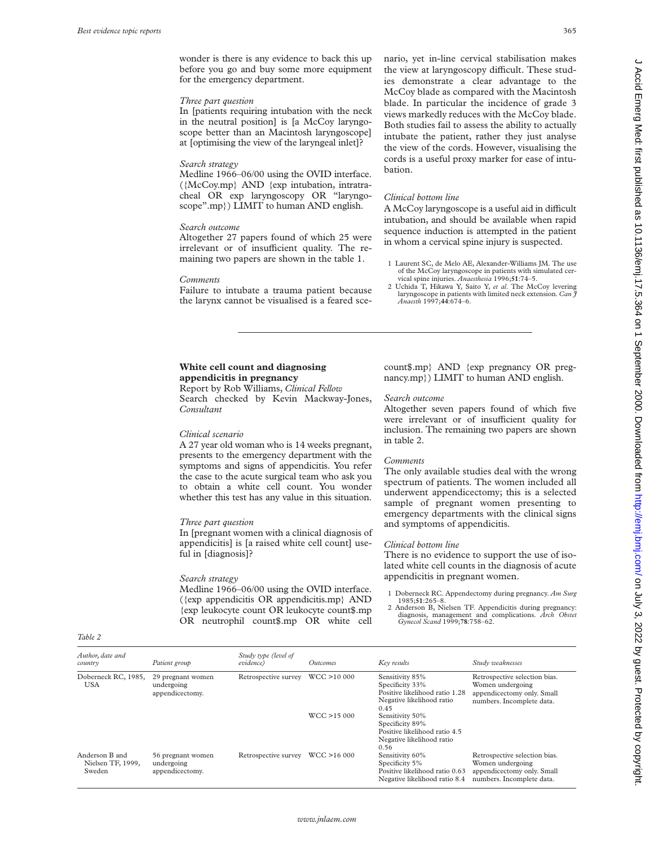wonder is there is any evidence to back this up before you go and buy some more equipment for the emergency department.

## *Three part question*

In [patients requiring intubation with the neck in the neutral position] is [a McCoy laryngoscope better than an Macintosh laryngoscope] at [optimising the view of the laryngeal inlet]?

# *Search strategy*

Medline 1966–06/00 using the OVID interface. ({McCoy.mp} AND {exp intubation, intratracheal OR exp laryngoscopy OR "laryngoscope".mp}) LIMIT to human AND english.

#### *Search outcome*

Altogether 27 papers found of which 25 were irrelevant or of insufficient quality. The remaining two papers are shown in the table 1.

#### *Comments*

Failure to intubate a trauma patient because the larynx cannot be visualised is a feared scenario, yet in-line cervical stabilisation makes the view at laryngoscopy difficult. These studies demonstrate a clear advantage to the McCoy blade as compared with the Macintosh blade. In particular the incidence of grade 3 views markedly reduces with the McCoy blade. Both studies fail to assess the ability to actually intubate the patient, rather they just analyse the view of the cords. However, visualising the cords is a useful proxy marker for ease of intubation.

# *Clinical bottom line*

A McCoy laryngoscope is a useful aid in difficult intubation, and should be available when rapid sequence induction is attempted in the patient in whom a cervical spine injury is suspected.

- 1 Laurent SC, de Melo AE, Alexander-Williams JM. The use of the McCoy laryngoscope in patients with simulated cervical spine injuries. *Anaesthesia* 1996;**51**:74–5.
- 2 Uchida T, Hikawa Y, Saito Y, *et al*. The McCoy levering laryngoscope in patients with limited neck extension. *Can*  $\tilde{\tau}$ *Anaesth* 1997;**44**:674–6.

# **White cell count and diagnosing appendicitis in pregnancy**

Report by Rob Williams, *Clinical Fellow* Search checked by Kevin Mackway-Jones, *Consultant*

## *Clinical scenario*

A 27 year old woman who is 14 weeks pregnant, presents to the emergency department with the symptoms and signs of appendicitis. You refer the case to the acute surgical team who ask you to obtain a white cell count. You wonder whether this test has any value in this situation.

## *Three part question*

In [pregnant women with a clinical diagnosis of appendicitis] is [a raised white cell count] useful in [diagnosis]?

#### *Search strategy*

*Table 2*

Medline 1966–06/00 using the OVID interface. ({exp appendicitis OR appendicitis.mp} AND {exp leukocyte count OR leukocyte count\$.mp OR neutrophil count\$.mp OR white cell count\$.mp} AND {exp pregnancy OR pregnancy.mp}) LIMIT to human AND english.

## *Search outcome*

Altogether seven papers found of which five were irrelevant or of insufficient quality for inclusion. The remaining two papers are shown in table 2.

#### *Comments*

The only available studies deal with the wrong spectrum of patients. The women included all underwent appendicectomy; this is a selected sample of pregnant women presenting to emergency departments with the clinical signs and symptoms of appendicitis.

## *Clinical bottom line*

There is no evidence to support the use of isolated white cell counts in the diagnosis of acute appendicitis in pregnant women.

- 1 Doberneck RC. Appendectomy during pregnancy. *Am Surg*
- 1985;**51**:265–8. 2 Anderson B, Nielsen TF. Appendicitis during pregnancy: diagnosis, management and complications. *Arch Obstet Gynecol Scand* 1999;**78**:758–62.

| Author, date and<br>country                   | Patient group                                      | Study type (level of<br>evidence) | <i><u><b>Outcomes</b></u></i> | Key results                                                                                               | Study weaknesses                                                                                             |
|-----------------------------------------------|----------------------------------------------------|-----------------------------------|-------------------------------|-----------------------------------------------------------------------------------------------------------|--------------------------------------------------------------------------------------------------------------|
| Doberneck RC, 1985,<br><b>USA</b>             | 29 pregnant women<br>undergoing<br>appendicectomy. | Retrospective survey              | WCC > 10000                   | Sensitivity 85%<br>Specificity 33%<br>Positive likelihood ratio 1.28<br>Negative likelihood ratio<br>0.45 | Retrospective selection bias.<br>Women undergoing<br>appendicectomy only. Small<br>numbers. Incomplete data. |
|                                               |                                                    |                                   | WCC > 15000                   | Sensitivity 50%<br>Specificity 89%<br>Positive likelihood ratio 4.5<br>Negative likelihood ratio<br>0.56  |                                                                                                              |
| Anderson B and<br>Nielsen TF, 1999,<br>Sweden | 56 pregnant women<br>undergoing<br>appendicectomy. | Retrospective survey              | WCC > 16000                   | Sensitivity 60%<br>Specificity 5%<br>Positive likelihood ratio 0.63<br>Negative likelihood ratio 8.4      | Retrospective selection bias.<br>Women undergoing<br>appendicectomy only. Small<br>numbers. Incomplete data. |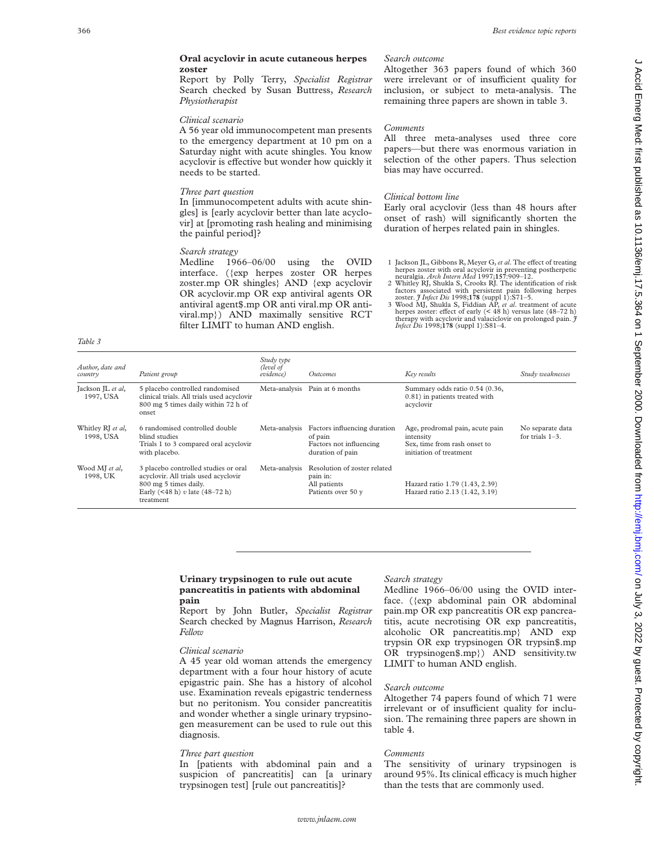## **Oral acyclovir in acute cutaneous herpes zoster**

Report by Polly Terry, *Specialist Registrar* Search checked by Susan Buttress, *Research Physiotherapist*

#### *Clinical scenario*

A 56 year old immunocompetent man presents to the emergency department at 10 pm on a Saturday night with acute shingles. You know acyclovir is effective but wonder how quickly it needs to be started.

## *Three part question*

In [immunocompetent adults with acute shingles] is [early acyclovir better than late acyclovir] at [promoting rash healing and minimising the painful period]?

## *Search strategy*

Medline 1966–06/00 using the OVID interface. ({exp herpes zoster OR herpes zoster.mp OR shingles} AND {exp acyclovir OR acyclovir.mp OR exp antiviral agents OR antiviral agent\$.mp OR anti viral.mp OR antiviral.mp}) AND maximally sensitive RCT filter LIMIT to human AND english.

*Table 3*

#### *Search outcome*

Altogether 363 papers found of which 360 were irrelevant or of insufficient quality for inclusion, or subject to meta-analysis. The remaining three papers are shown in table 3.

## *Comments*

All three meta-analyses used three core papers—but there was enormous variation in selection of the other papers. Thus selection bias may have occurred.

#### *Clinical bottom line*

Early oral acyclovir (less than 48 hours after onset of rash) will significantly shorten the duration of herpes related pain in shingles.

- 1 Jackson JL, Gibbons R, Meyer G, et al. The effect of treating<br>herpes zoster with oral acyclovir in preventing postherpetic<br>neuralgia. *Arch Intern Med* 1997;**157**:909–12.
- 2 Whitley RJ, Shukla S, Crooks RJ. The identification of risk factors associated with persistent pain following herpes zoster.  $\hat{\jmath}$  Infect Dis 1998;178 (suppl 1):S71-5.<br>3 Wood MJ, Shukla S, Fiddian AP, *et al.* reatmen
- herpes zoster: effect of early (< 48 h) versus late (48–72 h) therapy with acyclovir and valaciclovir on prolonged pain. *J Infect Dis* 1998;178 (suppl 1):S81–4.

| Author, date and<br>country    | Patient group                                                                                                                                        | Study type<br>(level of<br>evidence) | <i><u>Outcomes</u></i>                                                                 | Key results                                                                                             | Study weaknesses                       |
|--------------------------------|------------------------------------------------------------------------------------------------------------------------------------------------------|--------------------------------------|----------------------------------------------------------------------------------------|---------------------------------------------------------------------------------------------------------|----------------------------------------|
| Jackson JL et al,<br>1997, USA | 5 placebo controlled randomised<br>clinical trials. All trials used acyclovir<br>800 mg 5 times daily within 72 h of<br>onset                        | Meta-analysis                        | Pain at 6 months                                                                       | Summary odds ratio 0.54 (0.36,<br>0.81) in patients treated with<br>acyclovir                           |                                        |
| Whitley RJ et al,<br>1998, USA | 6 randomised controlled double<br>blind studies<br>Trials 1 to 3 compared oral acyclovir<br>with placebo.                                            | Meta-analysis                        | Factors influencing duration<br>of pain<br>Factors not influencing<br>duration of pain | Age, prodromal pain, acute pain<br>intensity<br>Sex, time from rash onset to<br>initiation of treatment | No separate data<br>for trials $1-3$ . |
| Wood MJ et al,<br>1998. UK     | 3 placebo controlled studies or oral<br>acyclovir. All trials used acyclovir<br>800 mg 5 times daily.<br>Early (<48 h) v late (48-72 h)<br>treatment | Meta-analysis                        | Resolution of zoster related<br>pain in:<br>All patients<br>Patients over 50 y         | Hazard ratio 1.79 (1.43, 2.39)<br>Hazard ratio 2.13 (1.42, 3.19)                                        |                                        |

## **Urinary trypsinogen to rule out acute pancreatitis in patients with abdominal pain**

Report by John Butler, *Specialist Registrar* Search checked by Magnus Harrison, *Research Fellow*

## *Clinical scenario*

A 45 year old woman attends the emergency department with a four hour history of acute epigastric pain. She has a history of alcohol use. Examination reveals epigastric tenderness but no peritonism. You consider pancreatitis and wonder whether a single urinary trypsinogen measurement can be used to rule out this diagnosis.

#### *Three part question*

In [patients with abdominal pain and a suspicion of pancreatitis] can [a urinary trypsinogen test] [rule out pancreatitis]?

## *Search strategy*

Medline 1966–06/00 using the OVID interface. ({exp abdominal pain OR abdominal pain.mp OR exp pancreatitis OR exp pancreatitis, acute necrotising OR exp pancreatitis, alcoholic OR pancreatitis.mp} AND exp trypsin OR exp trypsinogen OR trypsin\$.mp OR trypsinogen\$.mp}) AND sensitivity.tw LIMIT to human AND english.

## *Search outcome*

Altogether 74 papers found of which 71 were irrelevant or of insufficient quality for inclusion. The remaining three papers are shown in table 4.

#### *Comments*

The sensitivity of urinary trypsinogen is around 95%. Its clinical efficacy is much higher than the tests that are commonly used.